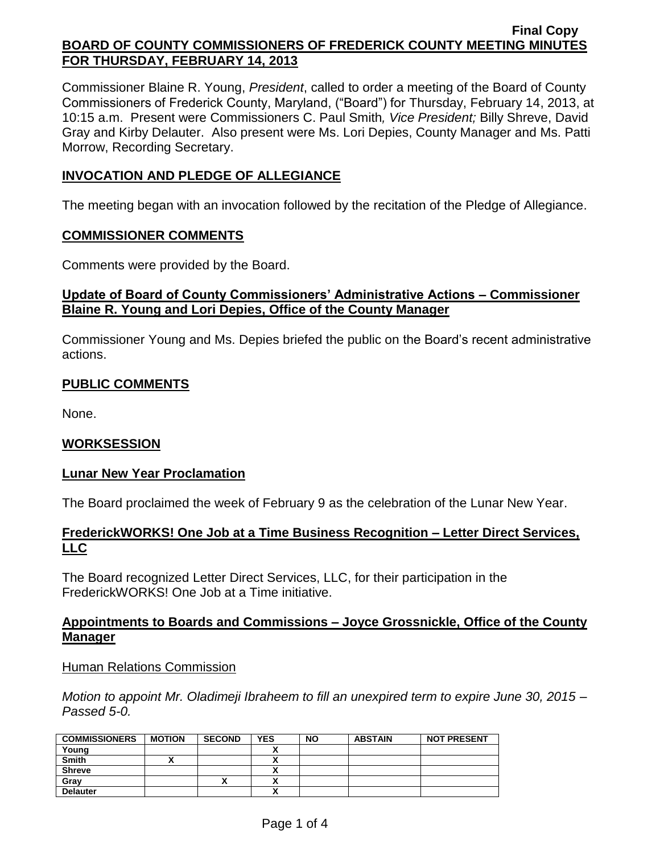Commissioner Blaine R. Young, *President*, called to order a meeting of the Board of County Commissioners of Frederick County, Maryland, ("Board") for Thursday, February 14, 2013, at 10:15 a.m. Present were Commissioners C. Paul Smith*, Vice President;* Billy Shreve, David Gray and Kirby Delauter. Also present were Ms. Lori Depies, County Manager and Ms. Patti Morrow, Recording Secretary.

## **INVOCATION AND PLEDGE OF ALLEGIANCE**

The meeting began with an invocation followed by the recitation of the Pledge of Allegiance.

#### **COMMISSIONER COMMENTS**

Comments were provided by the Board.

# **Update of Board of County Commissioners' Administrative Actions – Commissioner Blaine R. Young and Lori Depies, Office of the County Manager**

Commissioner Young and Ms. Depies briefed the public on the Board's recent administrative actions.

# **PUBLIC COMMENTS**

None.

### **WORKSESSION**

### **Lunar New Year Proclamation**

The Board proclaimed the week of February 9 as the celebration of the Lunar New Year.

### **FrederickWORKS! One Job at a Time Business Recognition – Letter Direct Services, LLC**

The Board recognized Letter Direct Services, LLC, for their participation in the FrederickWORKS! One Job at a Time initiative.

### **Appointments to Boards and Commissions – Joyce Grossnickle, Office of the County Manager**

#### Human Relations Commission

*Motion to appoint Mr. Oladimeji Ibraheem to fill an unexpired term to expire June 30, 2015 – Passed 5-0.*

| <b>COMMISSIONERS</b> | <b>MOTION</b> | <b>SECOND</b> | <b>YES</b> | <b>NO</b> | <b>ABSTAIN</b> | <b>NOT PRESENT</b> |
|----------------------|---------------|---------------|------------|-----------|----------------|--------------------|
| Young                |               |               |            |           |                |                    |
| <b>Smith</b>         |               |               |            |           |                |                    |
| <b>Shreve</b>        |               |               |            |           |                |                    |
| Grav                 |               |               | ,,         |           |                |                    |
| <b>Delauter</b>      |               |               | ,,         |           |                |                    |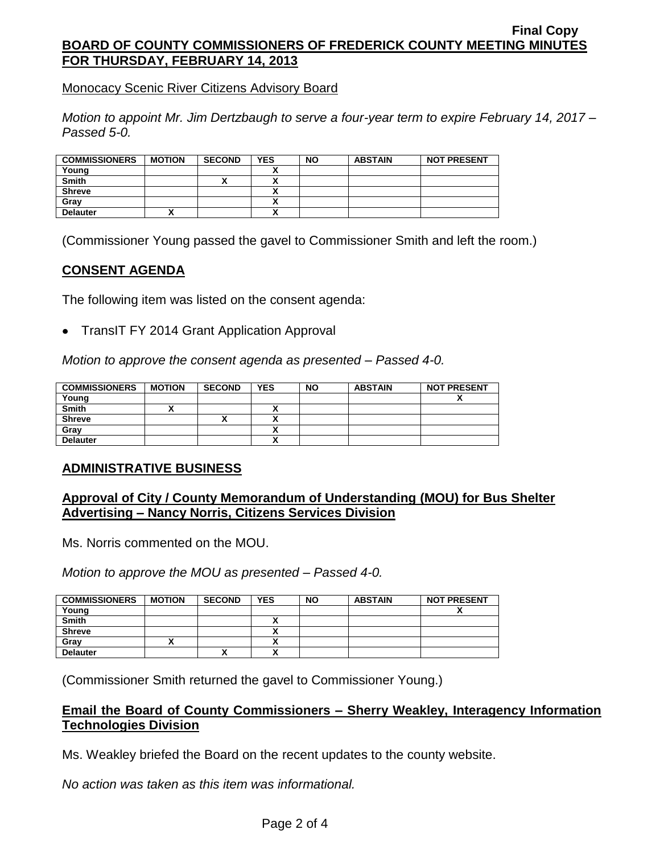Monocacy Scenic River Citizens Advisory Board

*Motion to appoint Mr. Jim Dertzbaugh to serve a four-year term to expire February 14, 2017 – Passed 5-0.*

| <b>COMMISSIONERS</b> | <b>MOTION</b> | <b>SECOND</b> | <b>YES</b>   | <b>NO</b> | <b>ABSTAIN</b> | <b>NOT PRESENT</b> |
|----------------------|---------------|---------------|--------------|-----------|----------------|--------------------|
| Young                |               |               |              |           |                |                    |
| <b>Smith</b>         |               |               |              |           |                |                    |
| <b>Shreve</b>        |               |               |              |           |                |                    |
| Grav                 |               |               |              |           |                |                    |
| <b>Delauter</b>      |               |               | $\mathbf{v}$ |           |                |                    |

(Commissioner Young passed the gavel to Commissioner Smith and left the room.)

### **CONSENT AGENDA**

The following item was listed on the consent agenda:

TransIT FY 2014 Grant Application Approval

*Motion to approve the consent agenda as presented – Passed 4-0.*

| <b>COMMISSIONERS</b> | <b>MOTION</b> | <b>SECOND</b> | <b>YES</b> | <b>NO</b> | <b>ABSTAIN</b> | <b>NOT PRESENT</b>       |
|----------------------|---------------|---------------|------------|-----------|----------------|--------------------------|
| Young                |               |               |            |           |                | $\overline{\phantom{a}}$ |
| <b>Smith</b>         |               |               |            |           |                |                          |
| <b>Shreve</b>        |               | '             |            |           |                |                          |
| Grav                 |               |               |            |           |                |                          |
| <b>Delauter</b>      |               |               | ~          |           |                |                          |

### **ADMINISTRATIVE BUSINESS**

### **Approval of City / County Memorandum of Understanding (MOU) for Bus Shelter Advertising – Nancy Norris, Citizens Services Division**

Ms. Norris commented on the MOU.

*Motion to approve the MOU as presented – Passed 4-0.*

| <b>COMMISSIONERS</b> | <b>MOTION</b> | <b>SECOND</b> | YES     | <b>NO</b> | <b>ABSTAIN</b> | <b>NOT PRESENT</b> |
|----------------------|---------------|---------------|---------|-----------|----------------|--------------------|
| Young                |               |               |         |           |                |                    |
| <b>Smith</b>         |               |               |         |           |                |                    |
| <b>Shreve</b>        |               |               |         |           |                |                    |
| Grav                 |               |               |         |           |                |                    |
| <b>Delauter</b>      |               |               | $\cdot$ |           |                |                    |

(Commissioner Smith returned the gavel to Commissioner Young.)

### **Email the Board of County Commissioners – Sherry Weakley, Interagency Information Technologies Division**

Ms. Weakley briefed the Board on the recent updates to the county website.

*No action was taken as this item was informational.*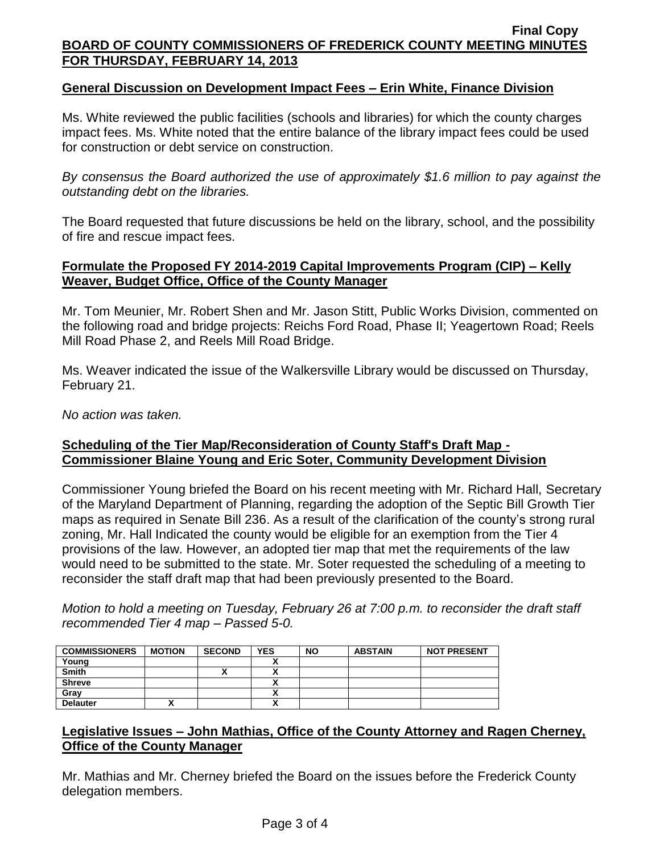### **General Discussion on Development Impact Fees – Erin White, Finance Division**

Ms. White reviewed the public facilities (schools and libraries) for which the county charges impact fees. Ms. White noted that the entire balance of the library impact fees could be used for construction or debt service on construction.

*By consensus the Board authorized the use of approximately \$1.6 million to pay against the outstanding debt on the libraries.*

The Board requested that future discussions be held on the library, school, and the possibility of fire and rescue impact fees.

## **Formulate the Proposed FY 2014-2019 Capital Improvements Program (CIP) – Kelly Weaver, Budget Office, Office of the County Manager**

Mr. Tom Meunier, Mr. Robert Shen and Mr. Jason Stitt, Public Works Division, commented on the following road and bridge projects: Reichs Ford Road, Phase II; Yeagertown Road; Reels Mill Road Phase 2, and Reels Mill Road Bridge.

Ms. Weaver indicated the issue of the Walkersville Library would be discussed on Thursday, February 21.

*No action was taken.*

### **Scheduling of the Tier Map/Reconsideration of County Staff's Draft Map - Commissioner Blaine Young and Eric Soter, Community Development Division**

Commissioner Young briefed the Board on his recent meeting with Mr. Richard Hall, Secretary of the Maryland Department of Planning, regarding the adoption of the Septic Bill Growth Tier maps as required in Senate Bill 236. As a result of the clarification of the county's strong rural zoning, Mr. Hall Indicated the county would be eligible for an exemption from the Tier  $4^{\degree}$ provisions of the law. However, an adopted tier map that met the requirements of the law would need to be submitted to the state. Mr. Soter requested the scheduling of a meeting to reconsider the staff draft map that had been previously presented to the Board.

*Motion to hold a meeting on Tuesday, February 26 at 7:00 p.m. to reconsider the draft staff recommended Tier 4 map – Passed 5-0.*

| <b>COMMISSIONERS</b> | <b>MOTION</b> | <b>SECOND</b> | <b>YES</b>   | <b>NO</b> | <b>ABSTAIN</b> | <b>NOT PRESENT</b> |
|----------------------|---------------|---------------|--------------|-----------|----------------|--------------------|
| Young                |               |               | $\mathbf{v}$ |           |                |                    |
| <b>Smith</b>         |               |               |              |           |                |                    |
| <b>Shreve</b>        |               |               |              |           |                |                    |
| Grav                 |               |               |              |           |                |                    |
| <b>Delauter</b>      |               |               | ↗            |           |                |                    |

### **Legislative Issues – John Mathias, Office of the County Attorney and Ragen Cherney, Office of the County Manager**

Mr. Mathias and Mr. Cherney briefed the Board on the issues before the Frederick County delegation members.